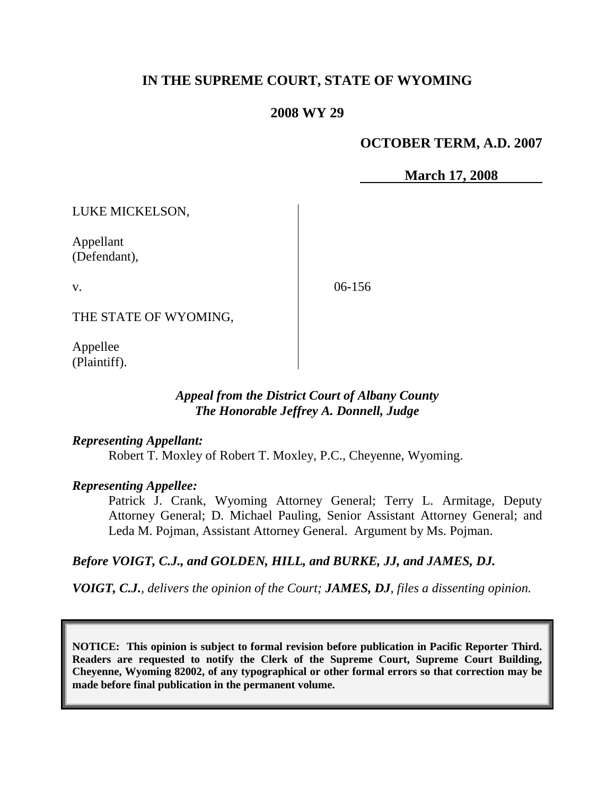# **IN THE SUPREME COURT, STATE OF WYOMING**

### **2008 WY 29**

## **OCTOBER TERM, A.D. 2007**

 **March 17, 2008**

LUKE MICKELSON,

Appellant (Defendant),

v.

06-156

THE STATE OF WYOMING,

Appellee (Plaintiff).

## *Appeal from the District Court of Albany County The Honorable Jeffrey A. Donnell, Judge*

#### *Representing Appellant:*

Robert T. Moxley of Robert T. Moxley, P.C., Cheyenne, Wyoming.

#### *Representing Appellee:*

Patrick J. Crank, Wyoming Attorney General; Terry L. Armitage, Deputy Attorney General; D. Michael Pauling, Senior Assistant Attorney General; and Leda M. Pojman, Assistant Attorney General. Argument by Ms. Pojman.

# *Before VOIGT, C.J., and GOLDEN, HILL, and BURKE, JJ, and JAMES, DJ.*

*VOIGT, C.J., delivers the opinion of the Court; JAMES, DJ, files a dissenting opinion.*

**NOTICE: This opinion is subject to formal revision before publication in Pacific Reporter Third. Readers are requested to notify the Clerk of the Supreme Court, Supreme Court Building, Cheyenne, Wyoming 82002, of any typographical or other formal errors so that correction may be made before final publication in the permanent volume.**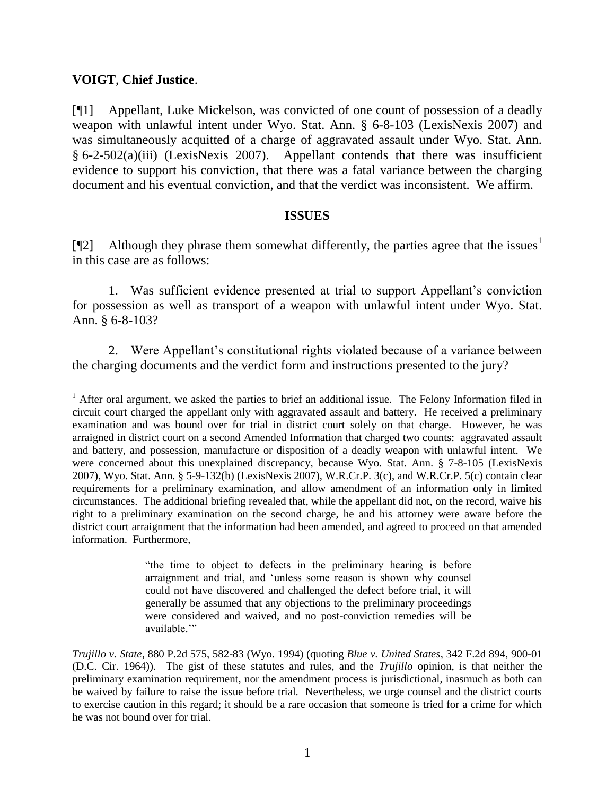### **VOIGT**, **Chief Justice**.

 $\overline{a}$ 

[¶1] Appellant, Luke Mickelson, was convicted of one count of possession of a deadly weapon with unlawful intent under Wyo. Stat. Ann. § 6-8-103 (LexisNexis 2007) and was simultaneously acquitted of a charge of aggravated assault under Wyo. Stat. Ann. § 6-2-502(a)(iii) (LexisNexis 2007). Appellant contends that there was insufficient evidence to support his conviction, that there was a fatal variance between the charging document and his eventual conviction, and that the verdict was inconsistent. We affirm.

#### **ISSUES**

[ $\degree$ [2] Although they phrase them somewhat differently, the parties agree that the issues<sup>1</sup> in this case are as follows:

1. Was sufficient evidence presented at trial to support Appellant"s conviction for possession as well as transport of a weapon with unlawful intent under Wyo. Stat. Ann. § 6-8-103?

2. Were Appellant's constitutional rights violated because of a variance between the charging documents and the verdict form and instructions presented to the jury?

"the time to object to defects in the preliminary hearing is before arraignment and trial, and "unless some reason is shown why counsel could not have discovered and challenged the defect before trial, it will generally be assumed that any objections to the preliminary proceedings were considered and waived, and no post-conviction remedies will be available.""

<sup>&</sup>lt;sup>1</sup> After oral argument, we asked the parties to brief an additional issue. The Felony Information filed in circuit court charged the appellant only with aggravated assault and battery. He received a preliminary examination and was bound over for trial in district court solely on that charge. However, he was arraigned in district court on a second Amended Information that charged two counts: aggravated assault and battery, and possession, manufacture or disposition of a deadly weapon with unlawful intent. We were concerned about this unexplained discrepancy, because Wyo. Stat. Ann. § 7-8-105 (LexisNexis 2007), Wyo. Stat. Ann. § 5-9-132(b) (LexisNexis 2007), W.R.Cr.P. 3(c), and W.R.Cr.P. 5(c) contain clear requirements for a preliminary examination, and allow amendment of an information only in limited circumstances. The additional briefing revealed that, while the appellant did not, on the record, waive his right to a preliminary examination on the second charge, he and his attorney were aware before the district court arraignment that the information had been amended, and agreed to proceed on that amended information. Furthermore,

*Trujillo v. State*, 880 P.2d 575, 582-83 (Wyo. 1994) (quoting *Blue v. United States*, 342 F.2d 894, 900-01 (D.C. Cir. 1964)). The gist of these statutes and rules, and the *Trujillo* opinion, is that neither the preliminary examination requirement, nor the amendment process is jurisdictional, inasmuch as both can be waived by failure to raise the issue before trial. Nevertheless, we urge counsel and the district courts to exercise caution in this regard; it should be a rare occasion that someone is tried for a crime for which he was not bound over for trial.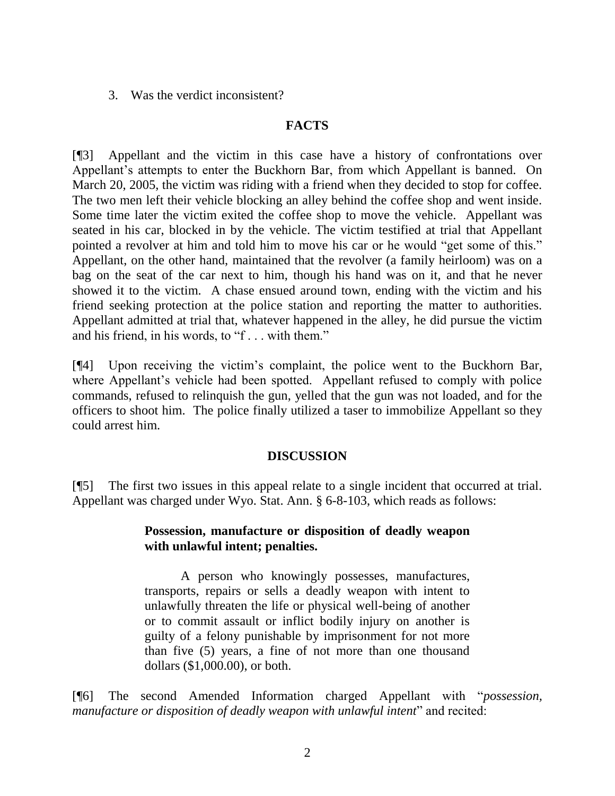3. Was the verdict inconsistent?

### **FACTS**

[¶3] Appellant and the victim in this case have a history of confrontations over Appellant"s attempts to enter the Buckhorn Bar, from which Appellant is banned. On March 20, 2005, the victim was riding with a friend when they decided to stop for coffee. The two men left their vehicle blocking an alley behind the coffee shop and went inside. Some time later the victim exited the coffee shop to move the vehicle. Appellant was seated in his car, blocked in by the vehicle. The victim testified at trial that Appellant pointed a revolver at him and told him to move his car or he would "get some of this." Appellant, on the other hand, maintained that the revolver (a family heirloom) was on a bag on the seat of the car next to him, though his hand was on it, and that he never showed it to the victim. A chase ensued around town, ending with the victim and his friend seeking protection at the police station and reporting the matter to authorities. Appellant admitted at trial that, whatever happened in the alley, he did pursue the victim and his friend, in his words, to "f . . . with them."

[¶4] Upon receiving the victim"s complaint, the police went to the Buckhorn Bar, where Appellant's vehicle had been spotted. Appellant refused to comply with police commands, refused to relinquish the gun, yelled that the gun was not loaded, and for the officers to shoot him. The police finally utilized a taser to immobilize Appellant so they could arrest him.

#### **DISCUSSION**

[¶5] The first two issues in this appeal relate to a single incident that occurred at trial. Appellant was charged under Wyo. Stat. Ann. § 6-8-103, which reads as follows:

### **Possession, manufacture or disposition of deadly weapon with unlawful intent; penalties.**

A person who knowingly possesses, manufactures, transports, repairs or sells a deadly weapon with intent to unlawfully threaten the life or physical well-being of another or to commit assault or inflict bodily injury on another is guilty of a felony punishable by imprisonment for not more than five (5) years, a fine of not more than one thousand dollars (\$1,000.00), or both.

[¶6] The second Amended Information charged Appellant with "*possession, manufacture or disposition of deadly weapon with unlawful intent*" and recited: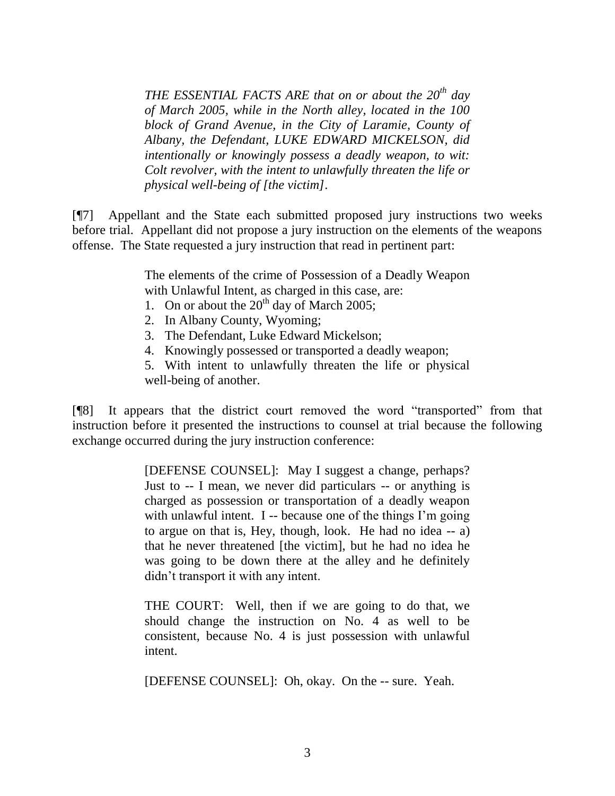*THE ESSENTIAL FACTS ARE that on or about the 20th day of March 2005, while in the North alley, located in the 100 block of Grand Avenue, in the City of Laramie, County of Albany, the Defendant, LUKE EDWARD MICKELSON, did intentionally or knowingly possess a deadly weapon, to wit: Colt revolver, with the intent to unlawfully threaten the life or physical well-being of [the victim]*.

[¶7] Appellant and the State each submitted proposed jury instructions two weeks before trial. Appellant did not propose a jury instruction on the elements of the weapons offense. The State requested a jury instruction that read in pertinent part:

> The elements of the crime of Possession of a Deadly Weapon with Unlawful Intent, as charged in this case, are:

- 1. On or about the  $20^{th}$  day of March 2005;
- 2. In Albany County, Wyoming;
- 3. The Defendant, Luke Edward Mickelson;
- 4. Knowingly possessed or transported a deadly weapon;

5. With intent to unlawfully threaten the life or physical well-being of another.

[¶8] It appears that the district court removed the word "transported" from that instruction before it presented the instructions to counsel at trial because the following exchange occurred during the jury instruction conference:

> [DEFENSE COUNSEL]: May I suggest a change, perhaps? Just to -- I mean, we never did particulars -- or anything is charged as possession or transportation of a deadly weapon with unlawful intent. I -- because one of the things  $\Gamma$ m going to argue on that is, Hey, though, look. He had no idea -- a) that he never threatened [the victim], but he had no idea he was going to be down there at the alley and he definitely didn"t transport it with any intent.

> THE COURT: Well, then if we are going to do that, we should change the instruction on No. 4 as well to be consistent, because No. 4 is just possession with unlawful intent.

[DEFENSE COUNSEL]: Oh, okay. On the -- sure. Yeah.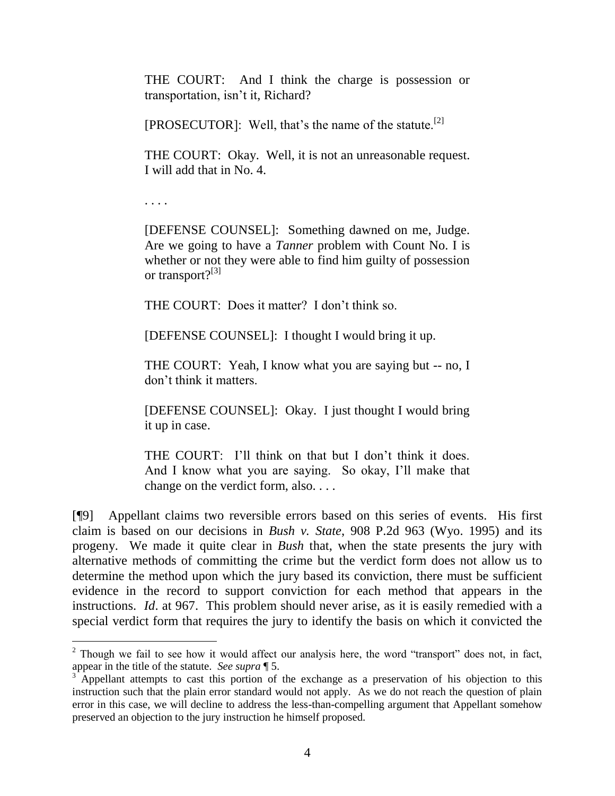THE COURT: And I think the charge is possession or transportation, isn"t it, Richard?

[PROSECUTOR]: Well, that's the name of the statute.<sup>[2]</sup>

THE COURT: Okay. Well, it is not an unreasonable request. I will add that in No. 4.

. . . .

[DEFENSE COUNSEL]: Something dawned on me, Judge. Are we going to have a *Tanner* problem with Count No. I is whether or not they were able to find him guilty of possession or transport? $[3]$ 

THE COURT: Does it matter? I don"t think so.

[DEFENSE COUNSEL]: I thought I would bring it up.

THE COURT: Yeah, I know what you are saying but -- no, I don"t think it matters.

[DEFENSE COUNSEL]: Okay. I just thought I would bring it up in case.

THE COURT: I'll think on that but I don't think it does. And I know what you are saying. So okay, I"ll make that change on the verdict form, also. . . .

[¶9] Appellant claims two reversible errors based on this series of events. His first claim is based on our decisions in *Bush v. State*, 908 P.2d 963 (Wyo. 1995) and its progeny. We made it quite clear in *Bush* that, when the state presents the jury with alternative methods of committing the crime but the verdict form does not allow us to determine the method upon which the jury based its conviction, there must be sufficient evidence in the record to support conviction for each method that appears in the instructions. *Id*. at 967. This problem should never arise, as it is easily remedied with a special verdict form that requires the jury to identify the basis on which it convicted the

 $2$  Though we fail to see how it would affect our analysis here, the word "transport" does not, in fact, appear in the title of the statute. *See supra* ¶ 5.

Appellant attempts to cast this portion of the exchange as a preservation of his objection to this instruction such that the plain error standard would not apply. As we do not reach the question of plain error in this case, we will decline to address the less-than-compelling argument that Appellant somehow preserved an objection to the jury instruction he himself proposed.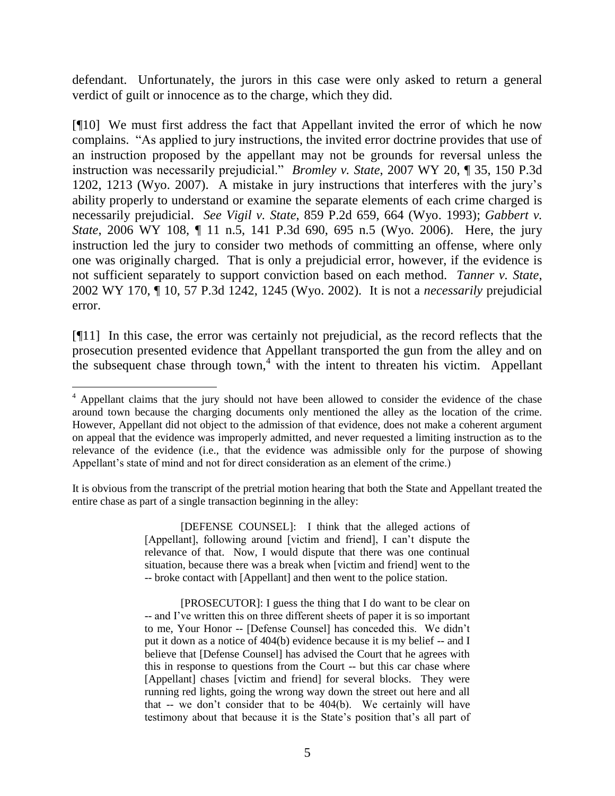defendant. Unfortunately, the jurors in this case were only asked to return a general verdict of guilt or innocence as to the charge, which they did.

[¶10] We must first address the fact that Appellant invited the error of which he now complains. "As applied to jury instructions, the invited error doctrine provides that use of an instruction proposed by the appellant may not be grounds for reversal unless the instruction was necessarily prejudicial." *Bromley v. State*, 2007 WY 20, ¶ 35, 150 P.3d 1202, 1213 (Wyo. 2007). A mistake in jury instructions that interferes with the jury"s ability properly to understand or examine the separate elements of each crime charged is necessarily prejudicial. *See Vigil v. State*, 859 P.2d 659, 664 (Wyo. 1993); *Gabbert v. State*, 2006 WY 108, ¶ 11 n.5, 141 P.3d 690, 695 n.5 (Wyo. 2006). Here, the jury instruction led the jury to consider two methods of committing an offense, where only one was originally charged. That is only a prejudicial error, however, if the evidence is not sufficient separately to support conviction based on each method. *Tanner v. State*, 2002 WY 170, ¶ 10, 57 P.3d 1242, 1245 (Wyo. 2002). It is not a *necessarily* prejudicial error.

[¶11] In this case, the error was certainly not prejudicial, as the record reflects that the prosecution presented evidence that Appellant transported the gun from the alley and on the subsequent chase through town,<sup>4</sup> with the intent to threaten his victim. Appellant

 $\overline{a}$ 

It is obvious from the transcript of the pretrial motion hearing that both the State and Appellant treated the entire chase as part of a single transaction beginning in the alley:

> [DEFENSE COUNSEL]: I think that the alleged actions of [Appellant], following around [victim and friend], I can't dispute the relevance of that. Now, I would dispute that there was one continual situation, because there was a break when [victim and friend] went to the -- broke contact with [Appellant] and then went to the police station.

<sup>&</sup>lt;sup>4</sup> Appellant claims that the jury should not have been allowed to consider the evidence of the chase around town because the charging documents only mentioned the alley as the location of the crime. However, Appellant did not object to the admission of that evidence, does not make a coherent argument on appeal that the evidence was improperly admitted, and never requested a limiting instruction as to the relevance of the evidence (i.e., that the evidence was admissible only for the purpose of showing Appellant's state of mind and not for direct consideration as an element of the crime.)

<sup>[</sup>PROSECUTOR]: I guess the thing that I do want to be clear on -- and I"ve written this on three different sheets of paper it is so important to me, Your Honor -- [Defense Counsel] has conceded this. We didn"t put it down as a notice of 404(b) evidence because it is my belief -- and I believe that [Defense Counsel] has advised the Court that he agrees with this in response to questions from the Court -- but this car chase where [Appellant] chases [victim and friend] for several blocks. They were running red lights, going the wrong way down the street out here and all that -- we don"t consider that to be 404(b). We certainly will have testimony about that because it is the State's position that's all part of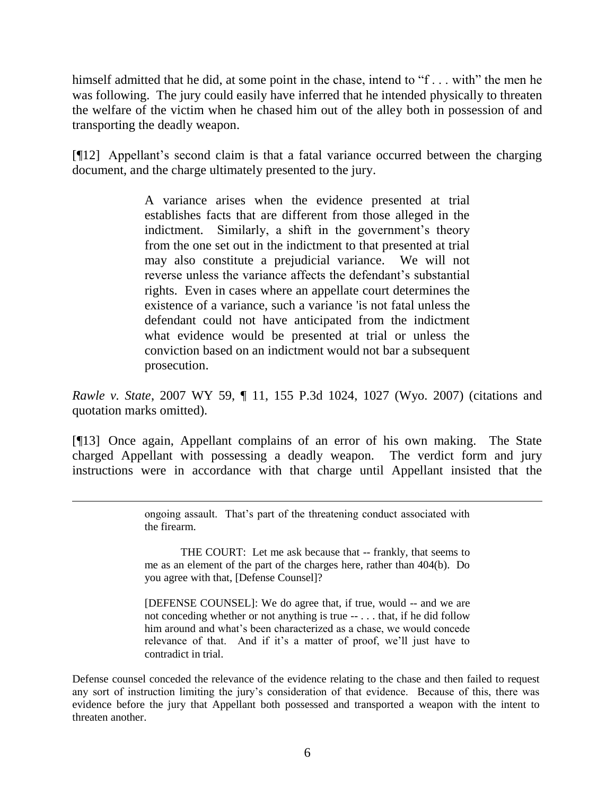himself admitted that he did, at some point in the chase, intend to "f... with" the men he was following. The jury could easily have inferred that he intended physically to threaten the welfare of the victim when he chased him out of the alley both in possession of and transporting the deadly weapon.

[¶12] Appellant's second claim is that a fatal variance occurred between the charging document, and the charge ultimately presented to the jury.

> A variance arises when the evidence presented at trial establishes facts that are different from those alleged in the indictment. Similarly, a shift in the government's theory from the one set out in the indictment to that presented at trial may also constitute a prejudicial variance. We will not reverse unless the variance affects the defendant's substantial rights. Even in cases where an appellate court determines the existence of a variance, such a variance 'is not fatal unless the defendant could not have anticipated from the indictment what evidence would be presented at trial or unless the conviction based on an indictment would not bar a subsequent prosecution.

*Rawle v. State*, 2007 WY 59, ¶ 11, 155 P.3d 1024, 1027 (Wyo. 2007) (citations and quotation marks omitted).

[¶13] Once again, Appellant complains of an error of his own making. The State charged Appellant with possessing a deadly weapon. The verdict form and jury instructions were in accordance with that charge until Appellant insisted that the

> ongoing assault. That"s part of the threatening conduct associated with the firearm.

 $\overline{a}$ 

THE COURT: Let me ask because that -- frankly, that seems to me as an element of the part of the charges here, rather than 404(b). Do you agree with that, [Defense Counsel]?

[DEFENSE COUNSEL]: We do agree that, if true, would -- and we are not conceding whether or not anything is true -- . . . that, if he did follow him around and what"s been characterized as a chase, we would concede relevance of that. And if it's a matter of proof, we'll just have to contradict in trial.

Defense counsel conceded the relevance of the evidence relating to the chase and then failed to request any sort of instruction limiting the jury's consideration of that evidence. Because of this, there was evidence before the jury that Appellant both possessed and transported a weapon with the intent to threaten another.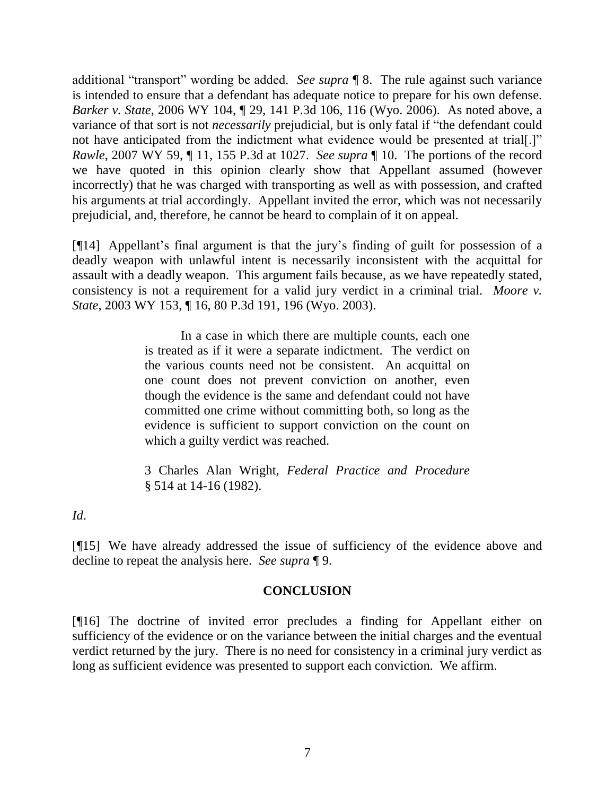additional "transport" wording be added. *See supra* ¶ 8. The rule against such variance is intended to ensure that a defendant has adequate notice to prepare for his own defense. *Barker v. State*, 2006 WY 104, ¶ 29, 141 P.3d 106, 116 (Wyo. 2006). As noted above, a variance of that sort is not *necessarily* prejudicial, but is only fatal if "the defendant could not have anticipated from the indictment what evidence would be presented at trial[.]" *Rawle*, 2007 WY 59, ¶ 11, 155 P.3d at 1027. *See supra* ¶ 10. The portions of the record we have quoted in this opinion clearly show that Appellant assumed (however incorrectly) that he was charged with transporting as well as with possession, and crafted his arguments at trial accordingly. Appellant invited the error, which was not necessarily prejudicial, and, therefore, he cannot be heard to complain of it on appeal.

[¶14] Appellant"s final argument is that the jury"s finding of guilt for possession of a deadly weapon with unlawful intent is necessarily inconsistent with the acquittal for assault with a deadly weapon. This argument fails because, as we have repeatedly stated, consistency is not a requirement for a valid jury verdict in a criminal trial. *Moore v. State*, 2003 WY 153, ¶ 16, 80 P.3d 191, 196 (Wyo. 2003).

> In a case in which there are multiple counts, each one is treated as if it were a separate indictment. The verdict on the various counts need not be consistent. An acquittal on one count does not prevent conviction on another, even though the evidence is the same and defendant could not have committed one crime without committing both, so long as the evidence is sufficient to support conviction on the count on which a guilty verdict was reached.

3 Charles Alan Wright, *Federal Practice and Procedure* § 514 at 14-16 (1982).

*Id*.

[¶15] We have already addressed the issue of sufficiency of the evidence above and decline to repeat the analysis here. *See supra* ¶ 9.

# **CONCLUSION**

[¶16] The doctrine of invited error precludes a finding for Appellant either on sufficiency of the evidence or on the variance between the initial charges and the eventual verdict returned by the jury. There is no need for consistency in a criminal jury verdict as long as sufficient evidence was presented to support each conviction. We affirm.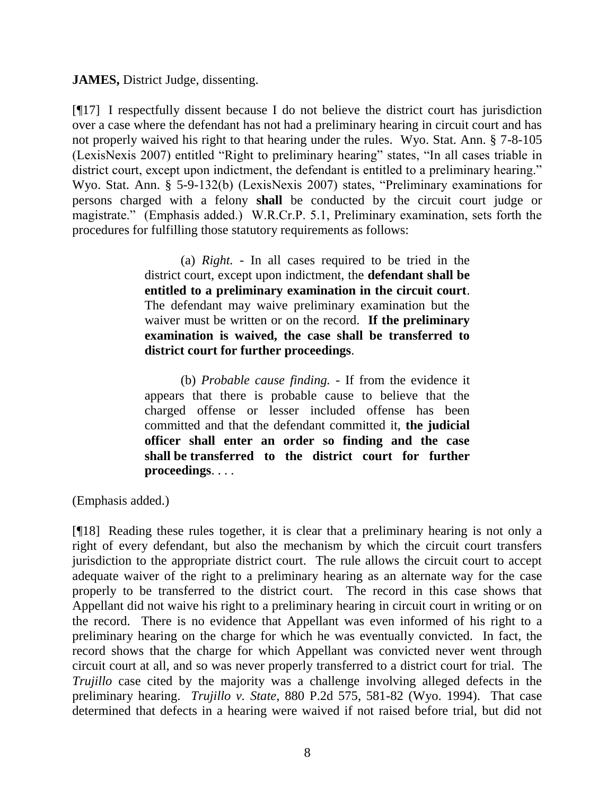**JAMES,** District Judge, dissenting.

[¶17] I respectfully dissent because I do not believe the district court has jurisdiction over a case where the defendant has not had a preliminary hearing in circuit court and has not properly waived his right to that hearing under the rules. Wyo. Stat. Ann. § 7-8-105 (LexisNexis 2007) entitled "Right to preliminary hearing" states, "In all cases triable in district court, except upon indictment, the defendant is entitled to a preliminary hearing." Wyo. Stat. Ann. § 5-9-132(b) (LexisNexis 2007) states, "Preliminary examinations for persons charged with a felony **shall** be conducted by the circuit court judge or magistrate." (Emphasis added.) W.R.Cr.P. 5.1, Preliminary examination, sets forth the procedures for fulfilling those statutory requirements as follows:

> (a) *Right.* - In all cases required to be tried in the district court, except upon indictment, the **defendant shall be entitled to a preliminary examination in the circuit court**. The defendant may waive preliminary examination but the waiver must be written or on the record. **If the preliminary examination is waived, the case shall be transferred to district court for further proceedings**.

> (b) *Probable cause finding.* - If from the evidence it appears that there is probable cause to believe that the charged offense or lesser included offense has been committed and that the defendant committed it, **the judicial officer shall enter an order so finding and the case shall be transferred to the district court for further proceedings**. . . .

(Emphasis added.)

[¶18] Reading these rules together, it is clear that a preliminary hearing is not only a right of every defendant, but also the mechanism by which the circuit court transfers jurisdiction to the appropriate district court. The rule allows the circuit court to accept adequate waiver of the right to a preliminary hearing as an alternate way for the case properly to be transferred to the district court. The record in this case shows that Appellant did not waive his right to a preliminary hearing in circuit court in writing or on the record. There is no evidence that Appellant was even informed of his right to a preliminary hearing on the charge for which he was eventually convicted. In fact, the record shows that the charge for which Appellant was convicted never went through circuit court at all, and so was never properly transferred to a district court for trial. The *Trujillo* case cited by the majority was a challenge involving alleged defects in the preliminary hearing. *Trujillo v. State*, 880 P.2d 575, 581-82 (Wyo. 1994). That case determined that defects in a hearing were waived if not raised before trial, but did not